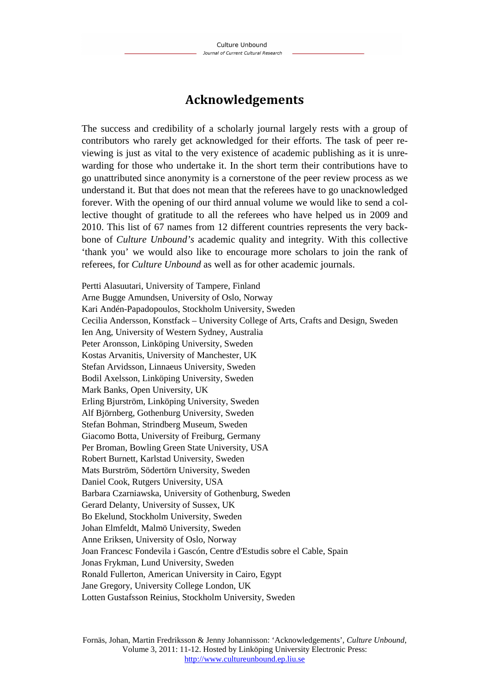## **Acknowledgements**

The success and credibility of a scholarly journal largely rests with a group of contributors who rarely get acknowledged for their efforts. The task of peer reviewing is just as vital to the very existence of academic publishing as it is unrewarding for those who undertake it. In the short term their contributions have to go unattributed since anonymity is a cornerstone of the peer review process as we understand it. But that does not mean that the referees have to go unacknowledged forever. With the opening of our third annual volume we would like to send a collective thought of gratitude to all the referees who have helped us in 2009 and 2010. This list of 67 names from 12 different countries represents the very backbone of *Culture Unbound's* academic quality and integrity. With this collective 'thank you' we would also like to encourage more scholars to join the rank of referees, for *Culture Unbound* as well as for other academic journals.

Pertti Alasuutari, University of Tampere, Finland Arne Bugge Amundsen, University of Oslo, Norway Kari Andén-Papadopoulos, Stockholm University, Sweden Cecilia Andersson, Konstfack – University College of Arts, Crafts and Design, Sweden Ien Ang, University of Western Sydney, Australia Peter Aronsson, Linköping University, Sweden Kostas Arvanitis, University of Manchester, UK Stefan Arvidsson, Linnaeus University, Sweden Bodil Axelsson, Linköping University, Sweden Mark Banks, Open University, UK Erling Bjurström, Linköping University, Sweden Alf Björnberg, Gothenburg University, Sweden Stefan Bohman, Strindberg Museum, Sweden Giacomo Botta, University of Freiburg, Germany Per Broman, Bowling Green State University, USA Robert Burnett, Karlstad University, Sweden Mats Burström, Södertörn University, Sweden Daniel Cook, Rutgers University, USA Barbara Czarniawska, University of Gothenburg, Sweden Gerard Delanty, University of Sussex, UK Bo Ekelund, Stockholm University, Sweden Johan Elmfeldt, Malmö University, Sweden Anne Eriksen, University of Oslo, Norway Joan Francesc Fondevila i Gascón, Centre d'Estudis sobre el Cable, Spain Jonas Frykman, Lund University, Sweden Ronald Fullerton, American University in Cairo, Egypt Jane Gregory, University College London, UK Lotten Gustafsson Reinius, Stockholm University, Sweden